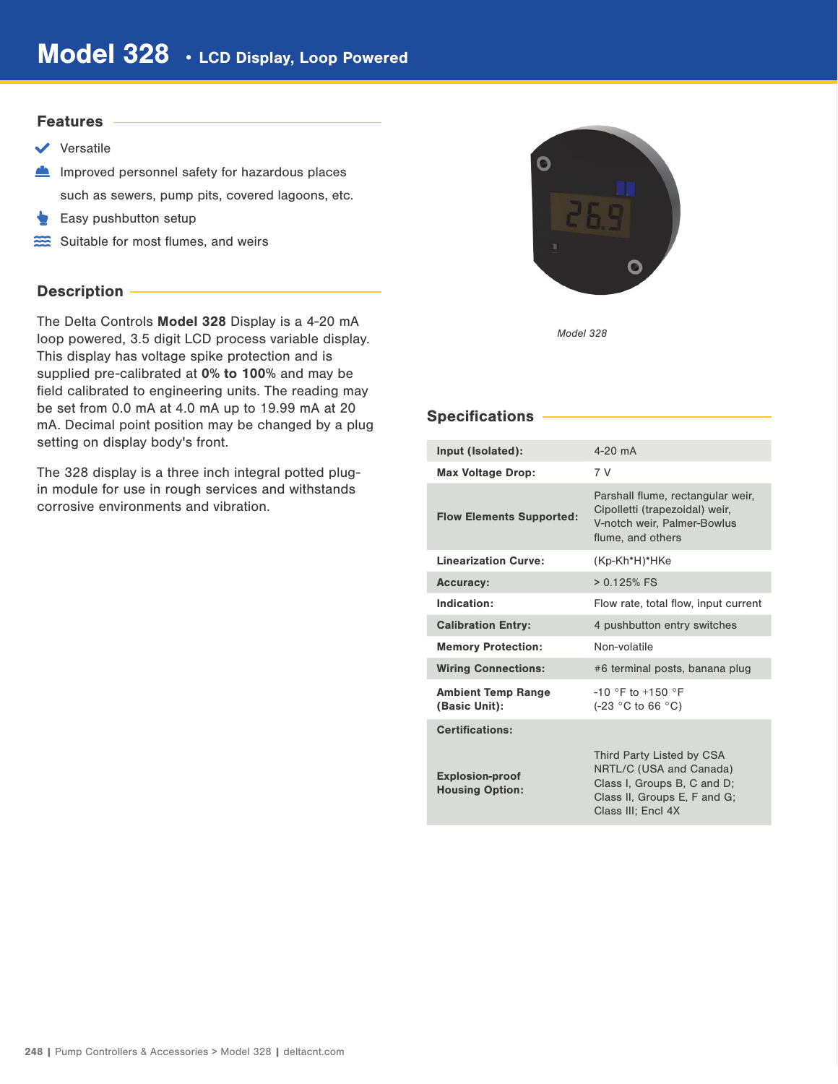#### Features

- $\vee$  Versatile
- Improved personnel safety for hazardous places such as sewers, pump pits, covered lagoons, etc.
- Easy pushbutton setup
- Suitable for most flumes, and weirs

# Description -

The Delta Controls Model 328 Display is a 4-20 mA loop powered, 3.5 digit LCD process variable display. This display has voltage spike protection and is supplied pre-calibrated at 0% to 100% and may be field calibrated to engineering units. The reading may be set from 0.0 mA at 4.0 mA up to 19.99 mA at 20 mA. Decimal point position may be changed by a plug setting on display body's front.

The 328 display is a three inch integral potted plugin module for use in rough services and withstands corrosive environments and vibration.



Model 328

# Specifications

| Input (Isolated):                                | $4-20$ mA                                                                                                                                 |
|--------------------------------------------------|-------------------------------------------------------------------------------------------------------------------------------------------|
| <b>Max Voltage Drop:</b>                         | 7 V                                                                                                                                       |
| <b>Flow Elements Supported:</b>                  | Parshall flume, rectangular weir,<br>Cipolletti (trapezoidal) weir,<br>V-notch weir, Palmer-Bowlus<br>flume, and others                   |
| <b>Linearization Curve:</b>                      | (Kp-Kh*H)*HKe                                                                                                                             |
| <b>Accuracy:</b>                                 | $> 0.125%$ FS                                                                                                                             |
| Indication:                                      | Flow rate, total flow, input current                                                                                                      |
| <b>Calibration Entry:</b>                        | 4 pushbutton entry switches                                                                                                               |
| <b>Memory Protection:</b>                        | Non-volatile                                                                                                                              |
| <b>Wiring Connections:</b>                       | #6 terminal posts, banana plug                                                                                                            |
| <b>Ambient Temp Range</b><br>(Basic Unit):       | $-10$ °F to $+150$ °F<br>$(-23 °C)$ to 66 °C)                                                                                             |
| <b>Certifications:</b>                           |                                                                                                                                           |
| <b>Explosion-proof</b><br><b>Housing Option:</b> | Third Party Listed by CSA<br>NRTL/C (USA and Canada)<br>Class I, Groups B, C and D;<br>Class II, Groups E, F and G;<br>Class III: Encl 4X |